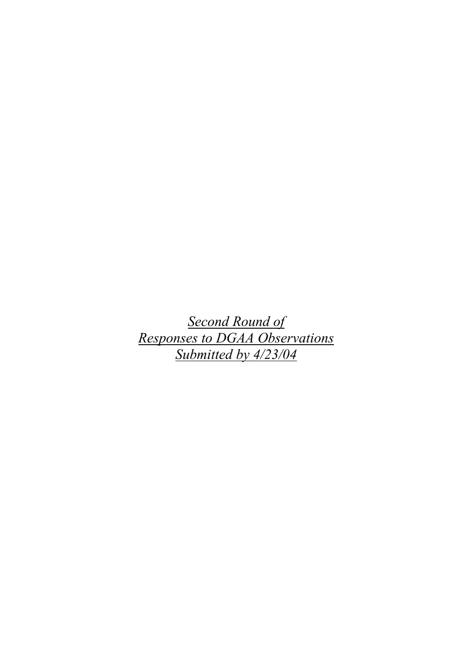*Second Round of Responses to DGAA Observations Submitted by 4/23/04*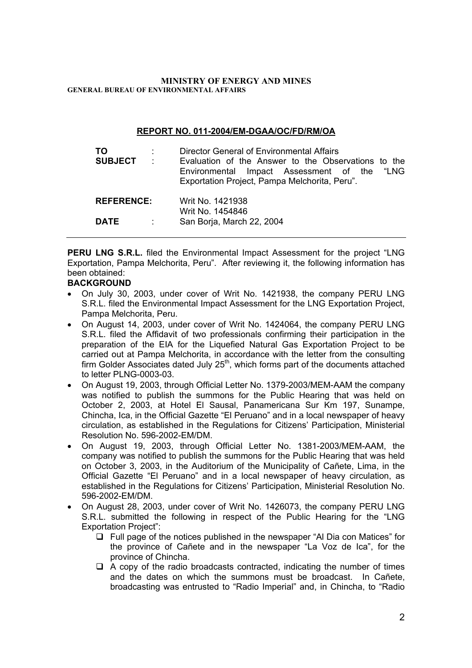### **MINISTRY OF ENERGY AND MINES GENERAL BUREAU OF ENVIRONMENTAL AFFAIRS**

## **REPORT NO. 011-2004/EM-DGAA/OC/FD/RM/OA**

| TO<br><b>SUBJECT</b> | $\sim 100$ | Director General of Environmental Affairs<br>Evaluation of the Answer to the Observations to the<br>"LNG<br>Environmental Impact Assessment of the<br>Exportation Project, Pampa Melchorita, Peru". |  |
|----------------------|------------|-----------------------------------------------------------------------------------------------------------------------------------------------------------------------------------------------------|--|
| <b>REFERENCE:</b>    |            | Writ No. 1421938                                                                                                                                                                                    |  |
| <b>DATE</b>          | ÷          | Writ No. 1454846<br>San Borja, March 22, 2004                                                                                                                                                       |  |

**PERU LNG S.R.L.** filed the Environmental Impact Assessment for the project "LNG Exportation, Pampa Melchorita, Peru". After reviewing it, the following information has been obtained:

# **BACKGROUND**

- On July 30, 2003, under cover of Writ No. 1421938, the company PERU LNG S.R.L. filed the Environmental Impact Assessment for the LNG Exportation Project, Pampa Melchorita, Peru.
- On August 14, 2003, under cover of Writ No. 1424064, the company PERU LNG S.R.L. filed the Affidavit of two professionals confirming their participation in the preparation of the EIA for the Liquefied Natural Gas Exportation Project to be carried out at Pampa Melchorita, in accordance with the letter from the consulting firm Golder Associates dated July  $25<sup>th</sup>$ , which forms part of the documents attached to letter PLNG-0003-03.
- On August 19, 2003, through Official Letter No. 1379-2003/MEM-AAM the company was notified to publish the summons for the Public Hearing that was held on October 2, 2003, at Hotel El Sausal, Panamericana Sur Km 197, Sunampe, Chincha, Ica, in the Official Gazette "El Peruano" and in a local newspaper of heavy circulation, as established in the Regulations for Citizens' Participation, Ministerial Resolution No. 596-2002-EM/DM.
- On August 19, 2003, through Official Letter No. 1381-2003/MEM-AAM, the company was notified to publish the summons for the Public Hearing that was held on October 3, 2003, in the Auditorium of the Municipality of Cañete, Lima, in the Official Gazette "El Peruano" and in a local newspaper of heavy circulation, as established in the Regulations for Citizens' Participation, Ministerial Resolution No. 596-2002-EM/DM.
- On August 28, 2003, under cover of Writ No. 1426073, the company PERU LNG S.R.L. submitted the following in respect of the Public Hearing for the "LNG Exportation Project":
	- $\Box$  Full page of the notices published in the newspaper "Al Dia con Matices" for the province of Cañete and in the newspaper "La Voz de Ica", for the province of Chincha.
	- $\Box$  A copy of the radio broadcasts contracted, indicating the number of times and the dates on which the summons must be broadcast. In Cañete, broadcasting was entrusted to "Radio Imperial" and, in Chincha, to "Radio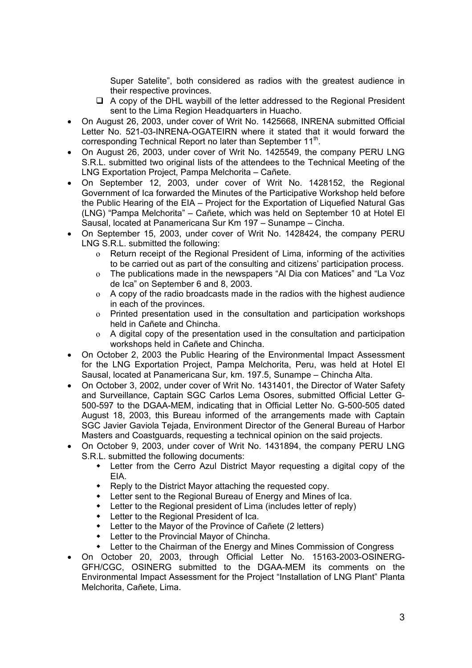Super Satelite", both considered as radios with the greatest audience in their respective provinces.

- $\Box$  A copy of the DHL waybill of the letter addressed to the Regional President sent to the Lima Region Headquarters in Huacho.
- On August 26, 2003, under cover of Writ No. 1425668, INRENA submitted Official Letter No. 521-03-INRENA-OGATEIRN where it stated that it would forward the corresponding Technical Report no later than September 11<sup>th</sup>.
- On August 26, 2003, under cover of Writ No. 1425549, the company PERU LNG S.R.L. submitted two original lists of the attendees to the Technical Meeting of the LNG Exportation Project, Pampa Melchorita – Cañete.
- On September 12, 2003, under cover of Writ No. 1428152, the Regional Government of Ica forwarded the Minutes of the Participative Workshop held before the Public Hearing of the EIA – Project for the Exportation of Liquefied Natural Gas (LNG) "Pampa Melchorita" – Cañete, which was held on September 10 at Hotel El Sausal, located at Panamericana Sur Km 197 – Sunampe – Cincha.
- On September 15, 2003, under cover of Writ No. 1428424, the company PERU LNG S.R.L. submitted the following:
	- o Return receipt of the Regional President of Lima, informing of the activities to be carried out as part of the consulting and citizens' participation process.
	- o The publications made in the newspapers "Al Dia con Matices" and "La Voz de Ica" on September 6 and 8, 2003.
	- o A copy of the radio broadcasts made in the radios with the highest audience in each of the provinces.
	- o Printed presentation used in the consultation and participation workshops held in Cañete and Chincha.
	- o A digital copy of the presentation used in the consultation and participation workshops held in Cañete and Chincha.
- On October 2, 2003 the Public Hearing of the Environmental Impact Assessment for the LNG Exportation Project, Pampa Melchorita, Peru, was held at Hotel El Sausal, located at Panamericana Sur, km. 197.5, Sunampe – Chincha Alta.
- On October 3, 2002, under cover of Writ No. 1431401, the Director of Water Safety and Surveillance, Captain SGC Carlos Lema Osores, submitted Official Letter G-500-597 to the DGAA-MEM, indicating that in Official Letter No. G-500-505 dated August 18, 2003, this Bureau informed of the arrangements made with Captain SGC Javier Gaviola Tejada, Environment Director of the General Bureau of Harbor Masters and Coastguards, requesting a technical opinion on the said projects.
- On October 9, 2003, under cover of Writ No. 1431894, the company PERU LNG S.R.L. submitted the following documents:
	- Letter from the Cerro Azul District Mayor requesting a digital copy of the EIA.
	- Reply to the District Mayor attaching the requested copy.
	- Letter sent to the Regional Bureau of Energy and Mines of Ica.
	- Letter to the Regional president of Lima (includes letter of reply)
	- Letter to the Regional President of Ica.
	- Letter to the Mayor of the Province of Cañete (2 letters)
	- Letter to the Provincial Mayor of Chincha.
	- Letter to the Chairman of the Energy and Mines Commission of Congress
- On October 20, 2003, through Official Letter No. 15163-2003-OSINERG-GFH/CGC, OSINERG submitted to the DGAA-MEM its comments on the Environmental Impact Assessment for the Project "Installation of LNG Plant" Planta Melchorita, Cañete, Lima.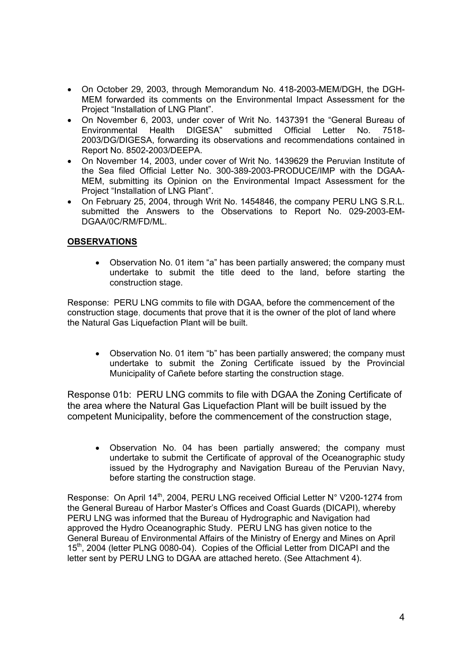- On October 29, 2003, through Memorandum No. 418-2003-MEM/DGH, the DGH-MEM forwarded its comments on the Environmental Impact Assessment for the Project "Installation of LNG Plant".
- On November 6, 2003, under cover of Writ No. 1437391 the "General Bureau of Environmental Health DIGESA" submitted Official Letter No. 7518- 2003/DG/DIGESA, forwarding its observations and recommendations contained in Report No. 8502-2003/DEEPA.
- On November 14, 2003, under cover of Writ No. 1439629 the Peruvian Institute of the Sea filed Official Letter No. 300-389-2003-PRODUCE/IMP with the DGAA-MEM, submitting its Opinion on the Environmental Impact Assessment for the Project "Installation of LNG Plant".
- On February 25, 2004, through Writ No. 1454846, the company PERU LNG S.R.L. submitted the Answers to the Observations to Report No. 029-2003-EM-DGAA/0C/RM/FD/ML.

# **OBSERVATIONS**

• Observation No. 01 item "a" has been partially answered; the company must undertake to submit the title deed to the land, before starting the construction stage.

Response: PERU LNG commits to file with DGAA, before the commencement of the construction stage, documents that prove that it is the owner of the plot of land where the Natural Gas Liquefaction Plant will be built.

• Observation No. 01 item "b" has been partially answered; the company must undertake to submit the Zoning Certificate issued by the Provincial Municipality of Cañete before starting the construction stage.

Response 01b: PERU LNG commits to file with DGAA the Zoning Certificate of the area where the Natural Gas Liquefaction Plant will be built issued by the competent Municipality, before the commencement of the construction stage,

• Observation No. 04 has been partially answered; the company must undertake to submit the Certificate of approval of the Oceanographic study issued by the Hydrography and Navigation Bureau of the Peruvian Navy, before starting the construction stage.

Response: On April 14<sup>th</sup>, 2004, PERU LNG received Official Letter N° V200-1274 from the General Bureau of Harbor Master's Offices and Coast Guards (DICAPI), whereby PERU LNG was informed that the Bureau of Hydrographic and Navigation had approved the Hydro Oceanographic Study. PERU LNG has given notice to the General Bureau of Environmental Affairs of the Ministry of Energy and Mines on April 15<sup>th</sup>, 2004 (letter PLNG 0080-04). Copies of the Official Letter from DICAPI and the letter sent by PERU LNG to DGAA are attached hereto. (See Attachment 4).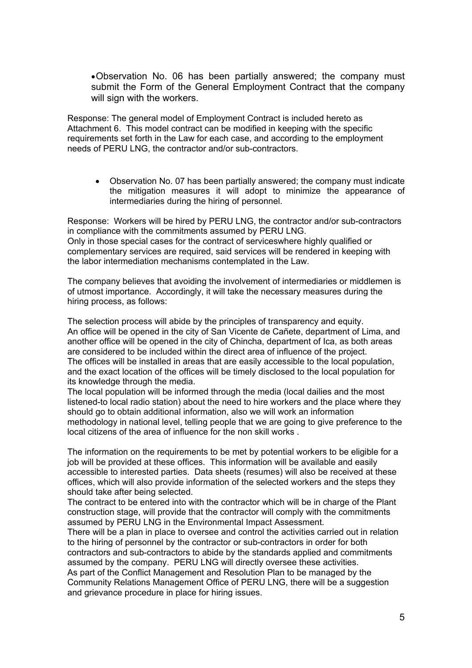• Observation No. 06 has been partially answered; the company must submit the Form of the General Employment Contract that the company will sign with the workers.

Response: The general model of Employment Contract is included hereto as Attachment 6. This model contract can be modified in keeping with the specific requirements set forth in the Law for each case, and according to the employment needs of PERU LNG, the contractor and/or sub-contractors.

• Observation No. 07 has been partially answered; the company must indicate the mitigation measures it will adopt to minimize the appearance of intermediaries during the hiring of personnel.

Response: Workers will be hired by PERU LNG, the contractor and/or sub-contractors in compliance with the commitments assumed by PERU LNG. Only in those special cases for the contract of serviceswhere highly qualified or complementary services are required, said services will be rendered in keeping with the labor intermediation mechanisms contemplated in the Law.

The company believes that avoiding the involvement of intermediaries or middlemen is of utmost importance. Accordingly, it will take the necessary measures during the hiring process, as follows:

The selection process will abide by the principles of transparency and equity. An office will be opened in the city of San Vicente de Cañete, department of Lima, and another office will be opened in the city of Chincha, department of Ica, as both areas are considered to be included within the direct area of influence of the project. The offices will be installed in areas that are easily accessible to the local population, and the exact location of the offices will be timely disclosed to the local population for its knowledge through the media.

The local population will be informed through the media (local dailies and the most listened-to local radio station) about the need to hire workers and the place where they should go to obtain additional information, also we will work an information methodology in national level, telling people that we are going to give preference to the local citizens of the area of influence for the non skill works .

The information on the requirements to be met by potential workers to be eligible for a job will be provided at these offices. This information will be available and easily accessible to interested parties. Data sheets (resumes) will also be received at these offices, which will also provide information of the selected workers and the steps they should take after being selected.

The contract to be entered into with the contractor which will be in charge of the Plant construction stage, will provide that the contractor will comply with the commitments assumed by PERU LNG in the Environmental Impact Assessment.

There will be a plan in place to oversee and control the activities carried out in relation to the hiring of personnel by the contractor or sub-contractors in order for both contractors and sub-contractors to abide by the standards applied and commitments assumed by the company. PERU LNG will directly oversee these activities.

As part of the Conflict Management and Resolution Plan to be managed by the Community Relations Management Office of PERU LNG, there will be a suggestion and grievance procedure in place for hiring issues.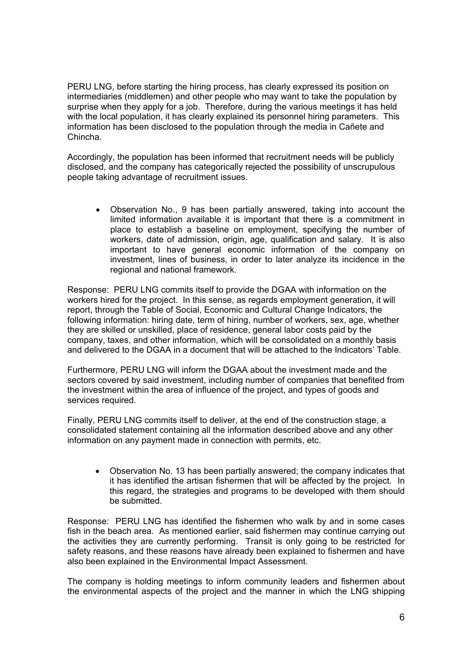PERU LNG, before starting the hiring process, has clearly expressed its position on intermediaries (middlemen) and other people who may want to take the population by surprise when they apply for a job. Therefore, during the various meetings it has held with the local population, it has clearly explained its personnel hiring parameters. This information has been disclosed to the population through the media in Cañete and Chincha.

Accordingly, the population has been informed that recruitment needs will be publicly disclosed, and the company has categorically rejected the possibility of unscrupulous people taking advantage of recruitment issues.

• Observation No., 9 has been partially answered, taking into account the limited information available it is important that there is a commitment in place to establish a baseline on employment, specifying the number of workers, date of admission, origin, age, qualification and salary. It is also important to have general economic information of the company on investment, lines of business, in order to later analyze its incidence in the regional and national framework.

Response: PERU LNG commits itself to provide the DGAA with information on the workers hired for the project. In this sense, as regards employment generation, it will report, through the Table of Social, Economic and Cultural Change Indicators, the following information: hiring date, term of hiring, number of workers, sex, age, whether they are skilled or unskilled, place of residence, general labor costs paid by the company, taxes, and other information, which will be consolidated on a monthly basis and delivered to the DGAA in a document that will be attached to the Indicators' Table.

Furthermore, PERU LNG will inform the DGAA about the investment made and the sectors covered by said investment, including number of companies that benefited from the investment within the area of influence of the project, and types of goods and services required.

Finally, PERU LNG commits itself to deliver, at the end of the construction stage, a consolidated statement containing all the information described above and any other information on any payment made in connection with permits, etc.

• Observation No. 13 has been partially answered; the company indicates that it has identified the artisan fishermen that will be affected by the project. In this regard, the strategies and programs to be developed with them should be submitted.

Response: PERU LNG has identified the fishermen who walk by and in some cases fish in the beach area. As mentioned earlier, said fishermen may continue carrying out the activities they are currently performing. Transit is only going to be restricted for safety reasons, and these reasons have already been explained to fishermen and have also been explained in the Environmental Impact Assessment.

The company is holding meetings to inform community leaders and fishermen about the environmental aspects of the project and the manner in which the LNG shipping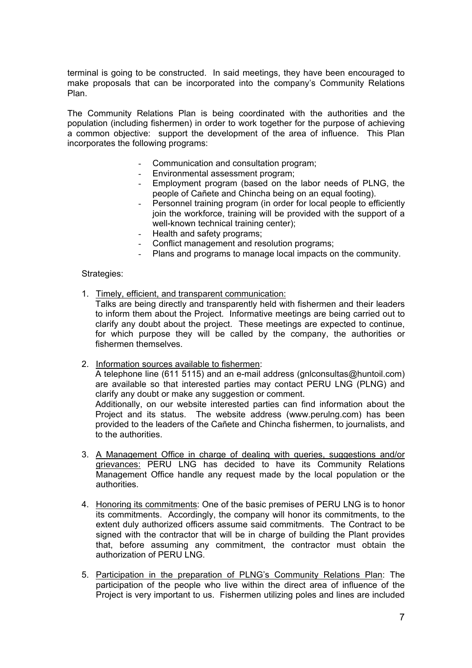terminal is going to be constructed. In said meetings, they have been encouraged to make proposals that can be incorporated into the company's Community Relations Plan.

The Community Relations Plan is being coordinated with the authorities and the population (including fishermen) in order to work together for the purpose of achieving a common objective: support the development of the area of influence. This Plan incorporates the following programs:

- Communication and consultation program;
- Environmental assessment program;
- Employment program (based on the labor needs of PLNG, the people of Cañete and Chincha being on an equal footing).
- Personnel training program (in order for local people to efficiently join the workforce, training will be provided with the support of a well-known technical training center);
- Health and safety programs;
- Conflict management and resolution programs;
- Plans and programs to manage local impacts on the community.

Strategies:

1. Timely, efficient, and transparent communication:

Talks are being directly and transparently held with fishermen and their leaders to inform them about the Project. Informative meetings are being carried out to clarify any doubt about the project. These meetings are expected to continue, for which purpose they will be called by the company, the authorities or fishermen themselves.

2. Information sources available to fishermen:

A telephone line (611 5115) and an e-mail address (gnlconsultas@huntoil.com) are available so that interested parties may contact PERU LNG (PLNG) and clarify any doubt or make any suggestion or comment.

Additionally, on our website interested parties can find information about the Project and its status. The website address (www.perulng.com) has been provided to the leaders of the Cañete and Chincha fishermen, to journalists, and to the authorities.

- 3. A Management Office in charge of dealing with queries, suggestions and/or grievances: PERU LNG has decided to have its Community Relations Management Office handle any request made by the local population or the authorities.
- 4. Honoring its commitments: One of the basic premises of PERU LNG is to honor its commitments. Accordingly, the company will honor its commitments, to the extent duly authorized officers assume said commitments. The Contract to be signed with the contractor that will be in charge of building the Plant provides that, before assuming any commitment, the contractor must obtain the authorization of PERU LNG.
- 5. Participation in the preparation of PLNG's Community Relations Plan: The participation of the people who live within the direct area of influence of the Project is very important to us. Fishermen utilizing poles and lines are included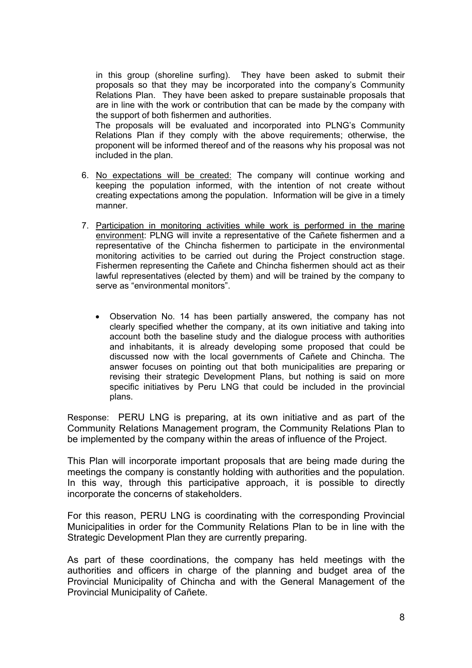in this group (shoreline surfing). They have been asked to submit their proposals so that they may be incorporated into the company's Community Relations Plan. They have been asked to prepare sustainable proposals that are in line with the work or contribution that can be made by the company with the support of both fishermen and authorities.

The proposals will be evaluated and incorporated into PLNG's Community Relations Plan if they comply with the above requirements; otherwise, the proponent will be informed thereof and of the reasons why his proposal was not included in the plan.

- 6. No expectations will be created: The company will continue working and keeping the population informed, with the intention of not create without creating expectations among the population. Information will be give in a timely manner.
- 7. Participation in monitoring activities while work is performed in the marine environment: PLNG will invite a representative of the Cañete fishermen and a representative of the Chincha fishermen to participate in the environmental monitoring activities to be carried out during the Project construction stage. Fishermen representing the Cañete and Chincha fishermen should act as their lawful representatives (elected by them) and will be trained by the company to serve as "environmental monitors".
	- Observation No. 14 has been partially answered, the company has not clearly specified whether the company, at its own initiative and taking into account both the baseline study and the dialogue process with authorities and inhabitants, it is already developing some proposed that could be discussed now with the local governments of Cañete and Chincha. The answer focuses on pointing out that both municipalities are preparing or revising their strategic Development Plans, but nothing is said on more specific initiatives by Peru LNG that could be included in the provincial plans.

Response: PERU LNG is preparing, at its own initiative and as part of the Community Relations Management program, the Community Relations Plan to be implemented by the company within the areas of influence of the Project.

This Plan will incorporate important proposals that are being made during the meetings the company is constantly holding with authorities and the population. In this way, through this participative approach, it is possible to directly incorporate the concerns of stakeholders.

For this reason, PERU LNG is coordinating with the corresponding Provincial Municipalities in order for the Community Relations Plan to be in line with the Strategic Development Plan they are currently preparing.

As part of these coordinations, the company has held meetings with the authorities and officers in charge of the planning and budget area of the Provincial Municipality of Chincha and with the General Management of the Provincial Municipality of Cañete.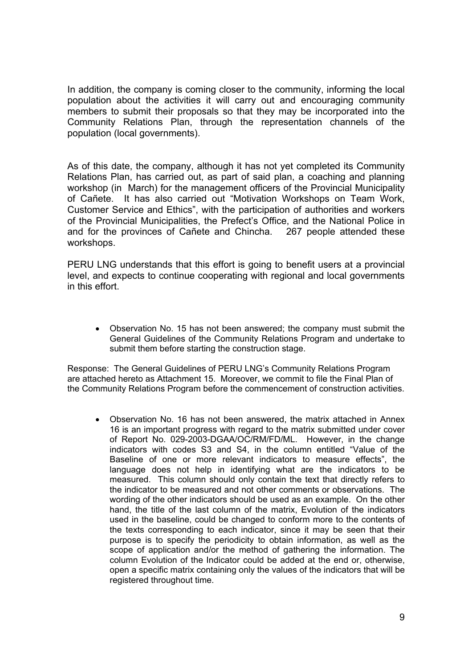In addition, the company is coming closer to the community, informing the local population about the activities it will carry out and encouraging community members to submit their proposals so that they may be incorporated into the Community Relations Plan, through the representation channels of the population (local governments).

As of this date, the company, although it has not yet completed its Community Relations Plan, has carried out, as part of said plan, a coaching and planning workshop (in March) for the management officers of the Provincial Municipality of Cañete. It has also carried out "Motivation Workshops on Team Work, Customer Service and Ethics", with the participation of authorities and workers of the Provincial Municipalities, the Prefect's Office, and the National Police in and for the provinces of Cañete and Chincha. 267 people attended these workshops.

PERU LNG understands that this effort is going to benefit users at a provincial level, and expects to continue cooperating with regional and local governments in this effort.

Observation No. 15 has not been answered; the company must submit the • General Guidelines of the Community Relations Program and undertake to submit them before starting the construction stage.

Response: The General Guidelines of PERU LNG's Community Relations Program are attached hereto as Attachment 15. Moreover, we commit to file the Final Plan of the Community Relations Program before the commencement of construction activities.

• Observation No. 16 has not been answered, the matrix attached in Annex 16 is an important progress with regard to the matrix submitted under cover of Report No. 029-2003-DGAA/OC/RM/FD/ML. However, in the change indicators with codes S3 and S4, in the column entitled "Value of the Baseline of one or more relevant indicators to measure effects", the language does not help in identifying what are the indicators to be measured. This column should only contain the text that directly refers to the indicator to be measured and not other comments or observations. The wording of the other indicators should be used as an example. On the other hand, the title of the last column of the matrix, Evolution of the indicators used in the baseline, could be changed to conform more to the contents of the texts corresponding to each indicator, since it may be seen that their purpose is to specify the periodicity to obtain information, as well as the scope of application and/or the method of gathering the information. The column Evolution of the Indicator could be added at the end or, otherwise, open a specific matrix containing only the values of the indicators that will be registered throughout time.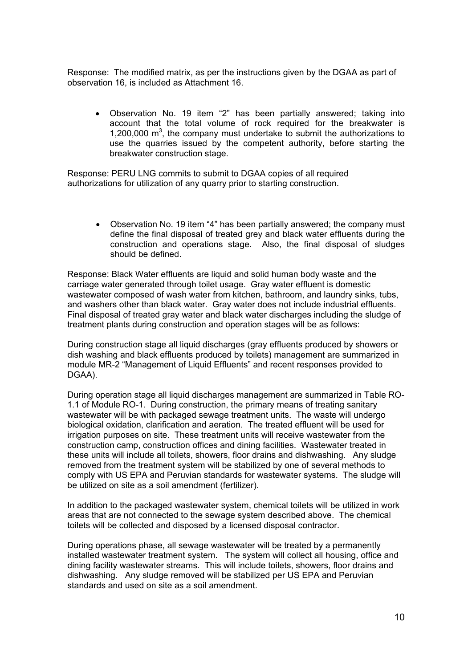Response: The modified matrix, as per the instructions given by the DGAA as part of observation 16, is included as Attachment 16.

• Observation No. 19 item "2" has been partially answered; taking into account that the total volume of rock required for the breakwater is 1,200,000  $\mathrm{m}^3$ , the company must undertake to submit the authorizations to use the quarries issued by the competent authority, before starting the breakwater construction stage.

Response: PERU LNG commits to submit to DGAA copies of all required authorizations for utilization of any quarry prior to starting construction.

• Observation No. 19 item "4" has been partially answered; the company must define the final disposal of treated grey and black water effluents during the construction and operations stage. Also, the final disposal of sludges should be defined.

Response: Black Water effluents are liquid and solid human body waste and the carriage water generated through toilet usage. Gray water effluent is domestic wastewater composed of wash water from kitchen, bathroom, and laundry sinks, tubs, and washers other than black water. Gray water does not include industrial effluents. Final disposal of treated gray water and black water discharges including the sludge of treatment plants during construction and operation stages will be as follows:

During construction stage all liquid discharges (gray effluents produced by showers or dish washing and black effluents produced by toilets) management are summarized in module MR-2 "Management of Liquid Effluents" and recent responses provided to DGAA).

During operation stage all liquid discharges management are summarized in Table RO-1.1 of Module RO-1. During construction, the primary means of treating sanitary wastewater will be with packaged sewage treatment units. The waste will undergo biological oxidation, clarification and aeration. The treated effluent will be used for irrigation purposes on site. These treatment units will receive wastewater from the construction camp, construction offices and dining facilities. Wastewater treated in these units will include all toilets, showers, floor drains and dishwashing. Any sludge removed from the treatment system will be stabilized by one of several methods to comply with US EPA and Peruvian standards for wastewater systems. The sludge will be utilized on site as a soil amendment (fertilizer).

In addition to the packaged wastewater system, chemical toilets will be utilized in work areas that are not connected to the sewage system described above. The chemical toilets will be collected and disposed by a licensed disposal contractor.

During operations phase, all sewage wastewater will be treated by a permanently installed wastewater treatment system. The system will collect all housing, office and dining facility wastewater streams. This will include toilets, showers, floor drains and dishwashing. Any sludge removed will be stabilized per US EPA and Peruvian standards and used on site as a soil amendment.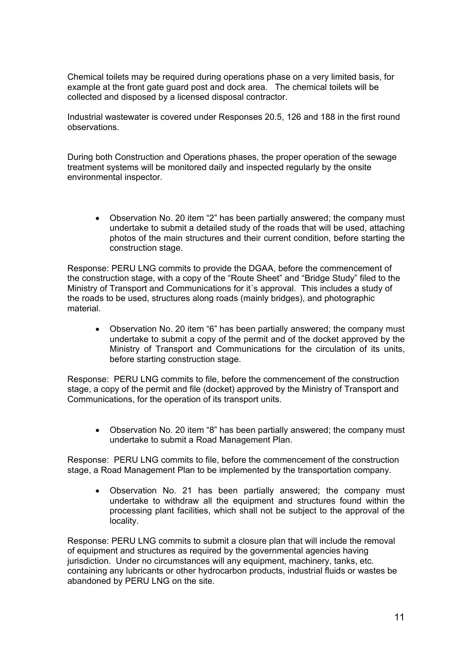Chemical toilets may be required during operations phase on a very limited basis, for example at the front gate guard post and dock area. The chemical toilets will be collected and disposed by a licensed disposal contractor.

Industrial wastewater is covered under Responses 20.5, 126 and 188 in the first round observations.

During both Construction and Operations phases, the proper operation of the sewage treatment systems will be monitored daily and inspected regularly by the onsite environmental inspector.

• Observation No. 20 item "2" has been partially answered; the company must undertake to submit a detailed study of the roads that will be used, attaching photos of the main structures and their current condition, before starting the construction stage.

Response: PERU LNG commits to provide the DGAA, before the commencement of the construction stage, with a copy of the "Route Sheet" and "Bridge Study" filed to the Ministry of Transport and Communications for it´s approval. This includes a study of the roads to be used, structures along roads (mainly bridges), and photographic material.

• Observation No. 20 item "6" has been partially answered; the company must undertake to submit a copy of the permit and of the docket approved by the Ministry of Transport and Communications for the circulation of its units, before starting construction stage.

Response: PERU LNG commits to file, before the commencement of the construction stage, a copy of the permit and file (docket) approved by the Ministry of Transport and Communications, for the operation of its transport units.

• Observation No. 20 item "8" has been partially answered; the company must undertake to submit a Road Management Plan.

Response: PERU LNG commits to file, before the commencement of the construction stage, a Road Management Plan to be implemented by the transportation company.

• Observation No. 21 has been partially answered; the company must undertake to withdraw all the equipment and structures found within the processing plant facilities, which shall not be subject to the approval of the locality.

Response: PERU LNG commits to submit a closure plan that will include the removal of equipment and structures as required by the governmental agencies having jurisdiction. Under no circumstances will any equipment, machinery, tanks, etc. containing any lubricants or other hydrocarbon products, industrial fluids or wastes be abandoned by PERU LNG on the site.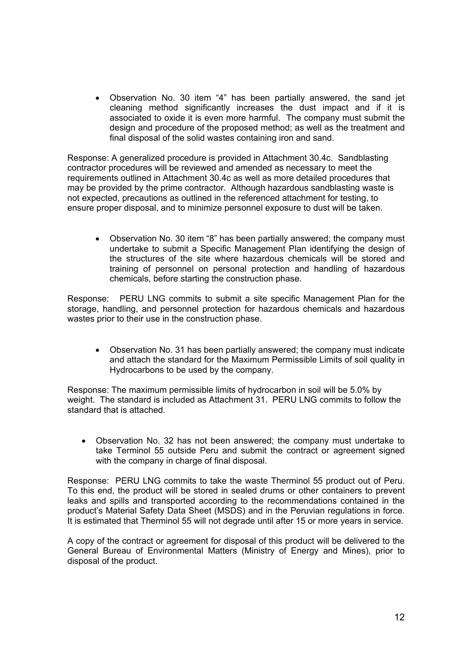• Observation No. 30 item "4" has been partially answered, the sand jet cleaning method significantly increases the dust impact and if it is associated to oxide it is even more harmful. The company must submit the design and procedure of the proposed method; as well as the treatment and final disposal of the solid wastes containing iron and sand.

Response: A generalized procedure is provided in Attachment 30.4c. Sandblasting contractor procedures will be reviewed and amended as necessary to meet the requirements outlined in Attachment 30.4c as well as more detailed procedures that may be provided by the prime contractor. Although hazardous sandblasting waste is not expected, precautions as outlined in the referenced attachment for testing, to ensure proper disposal, and to minimize personnel exposure to dust will be taken.

• Observation No. 30 item "8" has been partially answered; the company must undertake to submit a Specific Management Plan identifying the design of the structures of the site where hazardous chemicals will be stored and training of personnel on personal protection and handling of hazardous chemicals, before starting the construction phase.

Response: PERU LNG commits to submit a site specific Management Plan for the storage, handling, and personnel protection for hazardous chemicals and hazardous wastes prior to their use in the construction phase.

• Observation No. 31 has been partially answered; the company must indicate and attach the standard for the Maximum Permissible Limits of soil quality in Hydrocarbons to be used by the company.

Response: The maximum permissible limits of hydrocarbon in soil will be 5.0% by weight. The standard is included as Attachment 31. PERU LNG commits to follow the standard that is attached.

• Observation No. 32 has not been answered; the company must undertake to take Terminol 55 outside Peru and submit the contract or agreement signed with the company in charge of final disposal.

Response: PERU LNG commits to take the waste Therminol 55 product out of Peru. To this end, the product will be stored in sealed drums or other containers to prevent leaks and spills and transported according to the recommendations contained in the product's Material Safety Data Sheet (MSDS) and in the Peruvian regulations in force. It is estimated that Therminol 55 will not degrade until after 15 or more years in service.

A copy of the contract or agreement for disposal of this product will be delivered to the General Bureau of Environmental Matters (Ministry of Energy and Mines), prior to disposal of the product.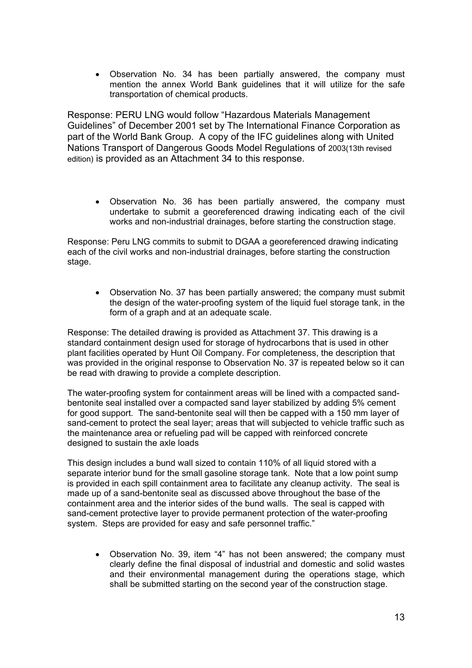• Observation No. 34 has been partially answered, the company must mention the annex World Bank guidelines that it will utilize for the safe transportation of chemical products.

Response: PERU LNG would follow "Hazardous Materials Management Guidelines" of December 2001 set by The International Finance Corporation as part of the World Bank Group. A copy of the IFC guidelines along with United Nations Transport of Dangerous Goods Model Regulations of 2003(13th revised edition) is provided as an Attachment 34 to this response.

• Observation No. 36 has been partially answered, the company must undertake to submit a georeferenced drawing indicating each of the civil works and non-industrial drainages, before starting the construction stage.

Response: Peru LNG commits to submit to DGAA a georeferenced drawing indicating each of the civil works and non-industrial drainages, before starting the construction stage.

• Observation No. 37 has been partially answered; the company must submit the design of the water-proofing system of the liquid fuel storage tank, in the form of a graph and at an adequate scale.

Response: The detailed drawing is provided as Attachment 37. This drawing is a standard containment design used for storage of hydrocarbons that is used in other plant facilities operated by Hunt Oil Company. For completeness, the description that was provided in the original response to Observation No. 37 is repeated below so it can be read with drawing to provide a complete description.

The water-proofing system for containment areas will be lined with a compacted sandbentonite seal installed over a compacted sand layer stabilized by adding 5% cement for good support. The sand-bentonite seal will then be capped with a 150 mm layer of sand-cement to protect the seal layer; areas that will subjected to vehicle traffic such as the maintenance area or refueling pad will be capped with reinforced concrete designed to sustain the axle loads

This design includes a bund wall sized to contain 110% of all liquid stored with a separate interior bund for the small gasoline storage tank. Note that a low point sump is provided in each spill containment area to facilitate any cleanup activity. The seal is made up of a sand-bentonite seal as discussed above throughout the base of the containment area and the interior sides of the bund walls. The seal is capped with sand-cement protective layer to provide permanent protection of the water-proofing system. Steps are provided for easy and safe personnel traffic."

• Observation No. 39, item "4" has not been answered; the company must clearly define the final disposal of industrial and domestic and solid wastes and their environmental management during the operations stage, which shall be submitted starting on the second year of the construction stage.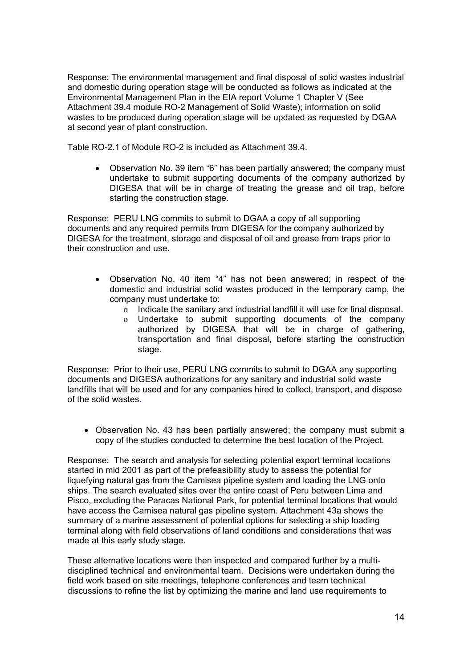Response: The environmental management and final disposal of solid wastes industrial and domestic during operation stage will be conducted as follows as indicated at the Environmental Management Plan in the EIA report Volume 1 Chapter V (See Attachment 39.4 module RO-2 Management of Solid Waste); information on solid wastes to be produced during operation stage will be updated as requested by DGAA at second year of plant construction.

Table RO-2.1 of Module RO-2 is included as Attachment 39.4.

• Observation No. 39 item "6" has been partially answered; the company must undertake to submit supporting documents of the company authorized by DIGESA that will be in charge of treating the grease and oil trap, before starting the construction stage.

Response: PERU LNG commits to submit to DGAA a copy of all supporting documents and any required permits from DIGESA for the company authorized by DIGESA for the treatment, storage and disposal of oil and grease from traps prior to their construction and use.

- Observation No. 40 item "4" has not been answered; in respect of the domestic and industrial solid wastes produced in the temporary camp, the company must undertake to:
	- o Indicate the sanitary and industrial landfill it will use for final disposal.
	- o Undertake to submit supporting documents of the company authorized by DIGESA that will be in charge of gathering, transportation and final disposal, before starting the construction stage.

Response: Prior to their use, PERU LNG commits to submit to DGAA any supporting documents and DIGESA authorizations for any sanitary and industrial solid waste landfills that will be used and for any companies hired to collect, transport, and dispose of the solid wastes.

• Observation No. 43 has been partially answered; the company must submit a copy of the studies conducted to determine the best location of the Project.

Response: The search and analysis for selecting potential export terminal locations started in mid 2001 as part of the prefeasibility study to assess the potential for liquefying natural gas from the Camisea pipeline system and loading the LNG onto ships. The search evaluated sites over the entire coast of Peru between Lima and Pisco, excluding the Paracas National Park, for potential terminal locations that would have access the Camisea natural gas pipeline system. Attachment 43a shows the summary of a marine assessment of potential options for selecting a ship loading terminal along with field observations of land conditions and considerations that was made at this early study stage.

These alternative locations were then inspected and compared further by a multidisciplined technical and environmental team. Decisions were undertaken during the field work based on site meetings, telephone conferences and team technical discussions to refine the list by optimizing the marine and land use requirements to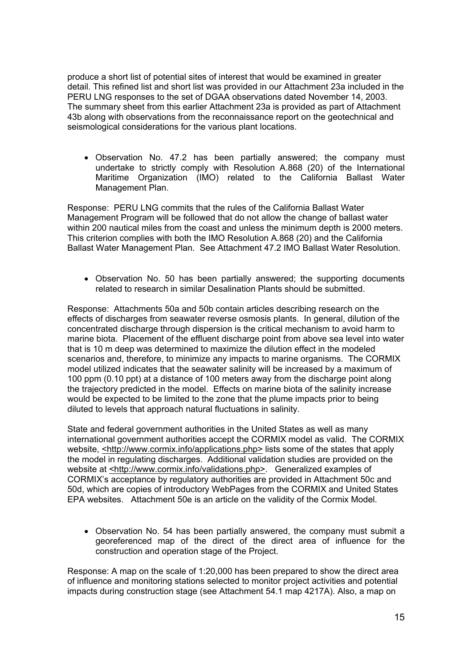produce a short list of potential sites of interest that would be examined in greater detail. This refined list and short list was provided in our Attachment 23a included in the PERU LNG responses to the set of DGAA observations dated November 14, 2003. The summary sheet from this earlier Attachment 23a is provided as part of Attachment 43b along with observations from the reconnaissance report on the geotechnical and seismological considerations for the various plant locations.

• Observation No. 47.2 has been partially answered; the company must undertake to strictly comply with Resolution A.868 (20) of the International Maritime Organization (IMO) related to the California Ballast Water Management Plan.

Response: PERU LNG commits that the rules of the California Ballast Water Management Program will be followed that do not allow the change of ballast water within 200 nautical miles from the coast and unless the minimum depth is 2000 meters. This criterion complies with both the IMO Resolution A.868 (20) and the California Ballast Water Management Plan. See Attachment 47.2 IMO Ballast Water Resolution.

• Observation No. 50 has been partially answered; the supporting documents related to research in similar Desalination Plants should be submitted.

Response: Attachments 50a and 50b contain articles describing research on the effects of discharges from seawater reverse osmosis plants. In general, dilution of the concentrated discharge through dispersion is the critical mechanism to avoid harm to marine biota. Placement of the effluent discharge point from above sea level into water that is 10 m deep was determined to maximize the dilution effect in the modeled scenarios and, therefore, to minimize any impacts to marine organisms. The CORMIX model utilized indicates that the seawater salinity will be increased by a maximum of 100 ppm (0.10 ppt) at a distance of 100 meters away from the discharge point along the trajectory predicted in the model. Effects on marine biota of the salinity increase would be expected to be limited to the zone that the plume impacts prior to being diluted to levels that approach natural fluctuations in salinity.

State and federal government authorities in the United States as well as many international government authorities accept the CORMIX model as valid. The CORMIX website, <http://www.cormix.info/applications.php> lists some of the states that apply the model in regulating discharges. Additional validation studies are provided on the website at <http://www.cormix.info/validations.php>. Generalized examples of CORMIX's acceptance by regulatory authorities are provided in Attachment 50c and 50d, which are copies of introductory WebPages from the CORMIX and United States EPA websites. Attachment 50e is an article on the validity of the Cormix Model.

• Observation No. 54 has been partially answered, the company must submit a georeferenced map of the direct of the direct area of influence for the construction and operation stage of the Project.

Response: A map on the scale of 1:20,000 has been prepared to show the direct area of influence and monitoring stations selected to monitor project activities and potential impacts during construction stage (see Attachment 54.1 map 4217A). Also, a map on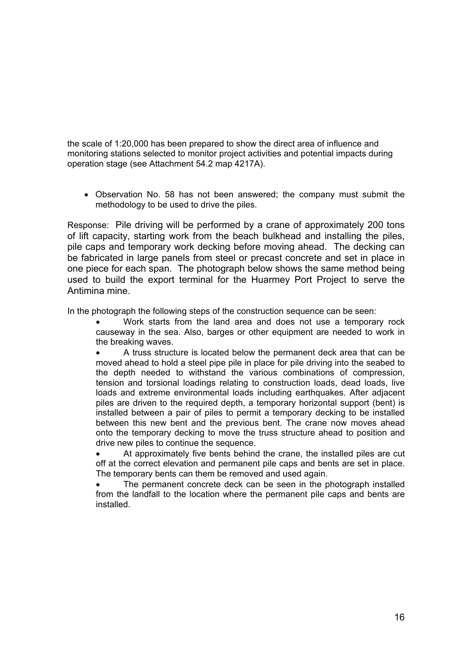the scale of 1:20,000 has been prepared to show the direct area of influence and monitoring stations selected to monitor project activities and potential impacts during operation stage (see Attachment 54.2 map 4217A).

Observation No. 58 has not been answered; the company must submit the • methodology to be used to drive the piles.

Response: Pile driving will be performed by a crane of approximately 200 tons of lift capacity, starting work from the beach bulkhead and installing the piles, pile caps and temporary work decking before moving ahead. The decking can be fabricated in large panels from steel or precast concrete and set in place in one piece for each span. The photograph below shows the same method being used to build the export terminal for the Huarmey Port Project to serve the Antimina mine.

In the photograph the following steps of the construction sequence can be seen:

• Work starts from the land area and does not use a temporary rock causeway in the sea. Also, barges or other equipment are needed to work in the breaking waves.

• A truss structure is located below the permanent deck area that can be moved ahead to hold a steel pipe pile in place for pile driving into the seabed to the depth needed to withstand the various combinations of compression, tension and torsional loadings relating to construction loads, dead loads, live loads and extreme environmental loads including earthquakes. After adjacent piles are driven to the required depth, a temporary horizontal support (bent) is installed between a pair of piles to permit a temporary decking to be installed between this new bent and the previous bent. The crane now moves ahead onto the temporary decking to move the truss structure ahead to position and drive new piles to continue the sequence.

At approximately five bents behind the crane, the installed piles are cut off at the correct elevation and permanent pile caps and bents are set in place. The temporary bents can them be removed and used again.

The permanent concrete deck can be seen in the photograph installed from the landfall to the location where the permanent pile caps and bents are installed.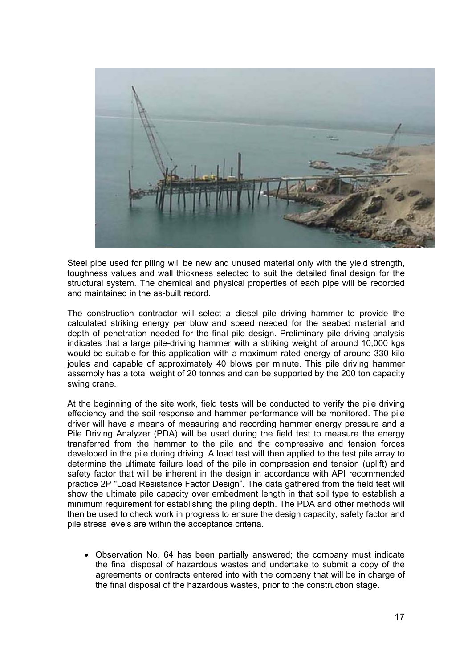

Steel pipe used for piling will be new and unused material only with the yield strength, toughness values and wall thickness selected to suit the detailed final design for the structural system. The chemical and physical properties of each pipe will be recorded and maintained in the as-built record.

The construction contractor will select a diesel pile driving hammer to provide the calculated striking energy per blow and speed needed for the seabed material and depth of penetration needed for the final pile design. Preliminary pile driving analysis indicates that a large pile-driving hammer with a striking weight of around 10,000 kgs would be suitable for this application with a maximum rated energy of around 330 kilo joules and capable of approximately 40 blows per minute. This pile driving hammer assembly has a total weight of 20 tonnes and can be supported by the 200 ton capacity swing crane.

At the beginning of the site work, field tests will be conducted to verify the pile driving effeciency and the soil response and hammer performance will be monitored. The pile driver will have a means of measuring and recording hammer energy pressure and a Pile Driving Analyzer (PDA) will be used during the field test to measure the energy transferred from the hammer to the pile and the compressive and tension forces developed in the pile during driving. A load test will then applied to the test pile array to determine the ultimate failure load of the pile in compression and tension (uplift) and safety factor that will be inherent in the design in accordance with API recommended practice 2P "Load Resistance Factor Design". The data gathered from the field test will show the ultimate pile capacity over embedment length in that soil type to establish a minimum requirement for establishing the piling depth. The PDA and other methods will then be used to check work in progress to ensure the design capacity, safety factor and pile stress levels are within the acceptance criteria.

• Observation No. 64 has been partially answered; the company must indicate the final disposal of hazardous wastes and undertake to submit a copy of the agreements or contracts entered into with the company that will be in charge of the final disposal of the hazardous wastes, prior to the construction stage.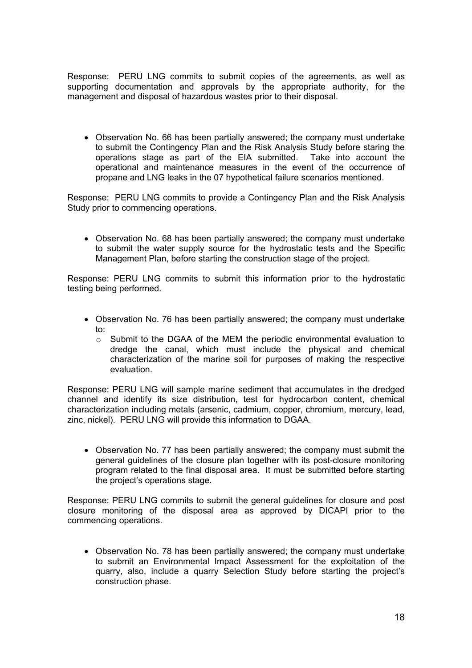Response: PERU LNG commits to submit copies of the agreements, as well as supporting documentation and approvals by the appropriate authority, for the management and disposal of hazardous wastes prior to their disposal.

• Observation No. 66 has been partially answered; the company must undertake to submit the Contingency Plan and the Risk Analysis Study before staring the operations stage as part of the EIA submitted. Take into account the operational and maintenance measures in the event of the occurrence of propane and LNG leaks in the 07 hypothetical failure scenarios mentioned.

Response: PERU LNG commits to provide a Contingency Plan and the Risk Analysis Study prior to commencing operations.

• Observation No. 68 has been partially answered; the company must undertake to submit the water supply source for the hydrostatic tests and the Specific Management Plan, before starting the construction stage of the project.

Response: PERU LNG commits to submit this information prior to the hydrostatic testing being performed.

- Observation No. 76 has been partially answered; the company must undertake to:
	- o Submit to the DGAA of the MEM the periodic environmental evaluation to dredge the canal, which must include the physical and chemical characterization of the marine soil for purposes of making the respective evaluation.

Response: PERU LNG will sample marine sediment that accumulates in the dredged channel and identify its size distribution, test for hydrocarbon content, chemical characterization including metals (arsenic, cadmium, copper, chromium, mercury, lead, zinc, nickel). PERU LNG will provide this information to DGAA.

• Observation No. 77 has been partially answered; the company must submit the general guidelines of the closure plan together with its post-closure monitoring program related to the final disposal area. It must be submitted before starting the project's operations stage.

Response: PERU LNG commits to submit the general guidelines for closure and post closure monitoring of the disposal area as approved by DICAPI prior to the commencing operations.

• Observation No. 78 has been partially answered; the company must undertake to submit an Environmental Impact Assessment for the exploitation of the quarry, also, include a quarry Selection Study before starting the project's construction phase.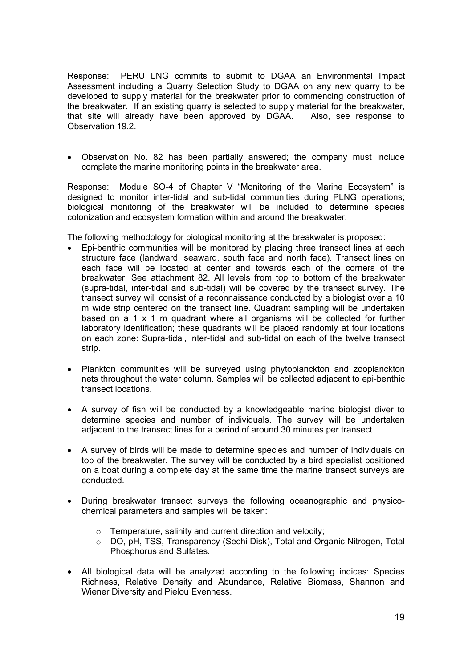Response: PERU LNG commits to submit to DGAA an Environmental Impact Assessment including a Quarry Selection Study to DGAA on any new quarry to be developed to supply material for the breakwater prior to commencing construction of the breakwater. If an existing quarry is selected to supply material for the breakwater, that site will already have been approved by DGAA. Also, see response to Observation 19.2.

• Observation No. 82 has been partially answered; the company must include complete the marine monitoring points in the breakwater area.

Response: Module SO-4 of Chapter V "Monitoring of the Marine Ecosystem" is designed to monitor inter-tidal and sub-tidal communities during PLNG operations; biological monitoring of the breakwater will be included to determine species colonization and ecosystem formation within and around the breakwater.

The following methodology for biological monitoring at the breakwater is proposed:

- Epi-benthic communities will be monitored by placing three transect lines at each structure face (landward, seaward, south face and north face). Transect lines on each face will be located at center and towards each of the corners of the breakwater. See attachment 82. All levels from top to bottom of the breakwater (supra-tidal, inter-tidal and sub-tidal) will be covered by the transect survey. The transect survey will consist of a reconnaissance conducted by a biologist over a 10 m wide strip centered on the transect line. Quadrant sampling will be undertaken based on a 1 x 1 m quadrant where all organisms will be collected for further laboratory identification; these quadrants will be placed randomly at four locations on each zone: Supra-tidal, inter-tidal and sub-tidal on each of the twelve transect strip.
- Plankton communities will be surveyed using phytoplanckton and zooplanckton nets throughout the water column. Samples will be collected adjacent to epi-benthic transect locations.
- A survey of fish will be conducted by a knowledgeable marine biologist diver to determine species and number of individuals. The survey will be undertaken adjacent to the transect lines for a period of around 30 minutes per transect.
- A survey of birds will be made to determine species and number of individuals on top of the breakwater. The survey will be conducted by a bird specialist positioned on a boat during a complete day at the same time the marine transect surveys are conducted.
- During breakwater transect surveys the following oceanographic and physicochemical parameters and samples will be taken:
	- o Temperature, salinity and current direction and velocity;
	- o DO, pH, TSS, Transparency (Sechi Disk), Total and Organic Nitrogen, Total Phosphorus and Sulfates.
- All biological data will be analyzed according to the following indices: Species Richness, Relative Density and Abundance, Relative Biomass, Shannon and Wiener Diversity and Pielou Evenness.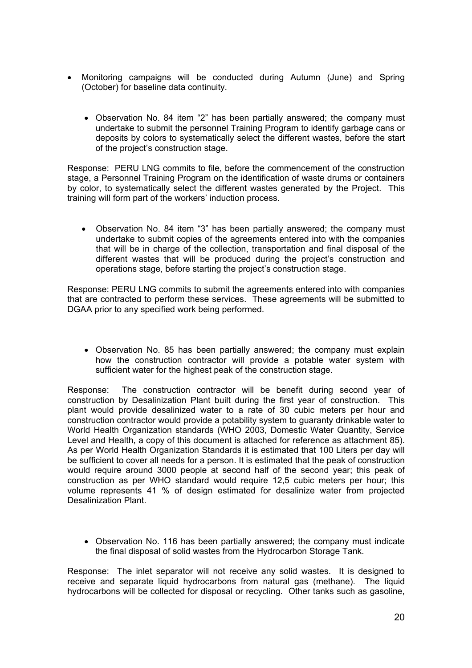- Monitoring campaigns will be conducted during Autumn (June) and Spring (October) for baseline data continuity.
	- Observation No. 84 item "2" has been partially answered; the company must undertake to submit the personnel Training Program to identify garbage cans or deposits by colors to systematically select the different wastes, before the start of the project's construction stage.

Response: PERU LNG commits to file, before the commencement of the construction stage, a Personnel Training Program on the identification of waste drums or containers by color, to systematically select the different wastes generated by the Project. This training will form part of the workers' induction process.

• Observation No. 84 item "3" has been partially answered; the company must undertake to submit copies of the agreements entered into with the companies that will be in charge of the collection, transportation and final disposal of the different wastes that will be produced during the project's construction and operations stage, before starting the project's construction stage.

Response: PERU LNG commits to submit the agreements entered into with companies that are contracted to perform these services. These agreements will be submitted to DGAA prior to any specified work being performed.

• Observation No. 85 has been partially answered; the company must explain how the construction contractor will provide a potable water system with sufficient water for the highest peak of the construction stage.

Response: The construction contractor will be benefit during second year of construction by Desalinization Plant built during the first year of construction. This plant would provide desalinized water to a rate of 30 cubic meters per hour and construction contractor would provide a potability system to guaranty drinkable water to World Health Organization standards (WHO 2003, Domestic Water Quantity, Service Level and Health, a copy of this document is attached for reference as attachment 85). As per World Health Organization Standards it is estimated that 100 Liters per day will be sufficient to cover all needs for a person. It is estimated that the peak of construction would require around 3000 people at second half of the second year; this peak of construction as per WHO standard would require 12,5 cubic meters per hour; this volume represents 41 % of design estimated for desalinize water from projected Desalinization Plant.

• Observation No. 116 has been partially answered; the company must indicate the final disposal of solid wastes from the Hydrocarbon Storage Tank.

Response: The inlet separator will not receive any solid wastes. It is designed to receive and separate liquid hydrocarbons from natural gas (methane). The liquid hydrocarbons will be collected for disposal or recycling. Other tanks such as gasoline,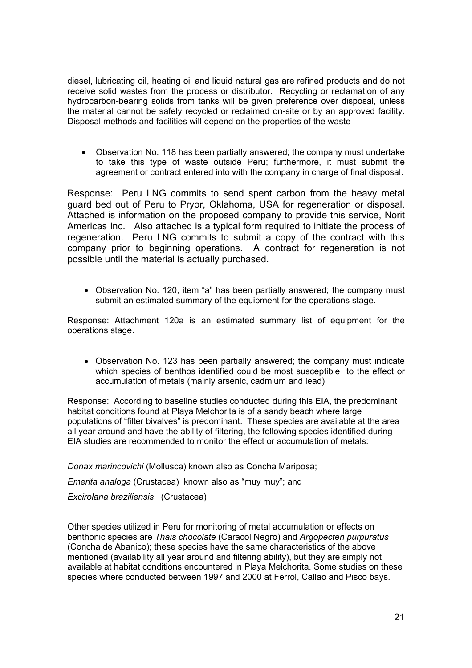diesel, lubricating oil, heating oil and liquid natural gas are refined products and do not receive solid wastes from the process or distributor. Recycling or reclamation of any hydrocarbon-bearing solids from tanks will be given preference over disposal, unless the material cannot be safely recycled or reclaimed on-site or by an approved facility. Disposal methods and facilities will depend on the properties of the waste

• Observation No. 118 has been partially answered; the company must undertake to take this type of waste outside Peru; furthermore, it must submit the agreement or contract entered into with the company in charge of final disposal.

Response: Peru LNG commits to send spent carbon from the heavy metal guard bed out of Peru to Pryor, Oklahoma, USA for regeneration or disposal. Attached is information on the proposed company to provide this service, Norit Americas Inc. Also attached is a typical form required to initiate the process of regeneration. Peru LNG commits to submit a copy of the contract with this company prior to beginning operations. A contract for regeneration is not possible until the material is actually purchased.

• Observation No. 120, item "a" has been partially answered; the company must submit an estimated summary of the equipment for the operations stage.

Response: Attachment 120a is an estimated summary list of equipment for the operations stage.

• Observation No. 123 has been partially answered; the company must indicate which species of benthos identified could be most susceptible to the effect or accumulation of metals (mainly arsenic, cadmium and lead).

Response: According to baseline studies conducted during this EIA, the predominant habitat conditions found at Playa Melchorita is of a sandy beach where large populations of "filter bivalves" is predominant. These species are available at the area all year around and have the ability of filtering, the following species identified during EIA studies are recommended to monitor the effect or accumulation of metals:

*Donax marincovichi* (Mollusca) known also as Concha Mariposa; *Emerita analoga* (Crustacea) known also as "muy muy"; and

*Excirolana braziliensis* (Crustacea)

Other species utilized in Peru for monitoring of metal accumulation or effects on benthonic species are *Thais chocolate* (Caracol Negro) and *Argopecten purpuratus* (Concha de Abanico); these species have the same characteristics of the above mentioned (availability all year around and filtering ability), but they are simply not available at habitat conditions encountered in Playa Melchorita. Some studies on these species where conducted between 1997 and 2000 at Ferrol, Callao and Pisco bays.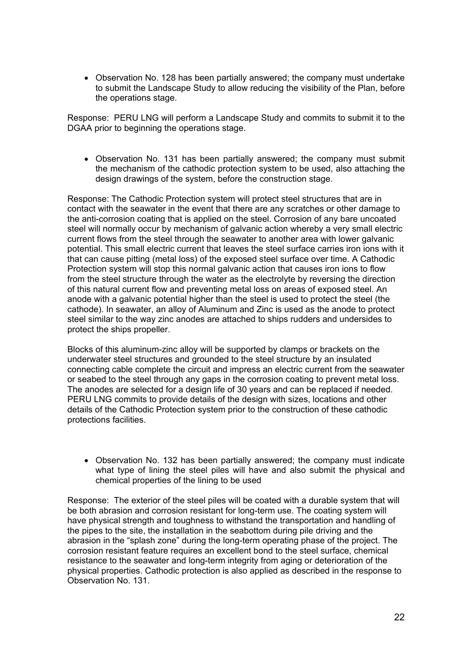• Observation No. 128 has been partially answered; the company must undertake to submit the Landscape Study to allow reducing the visibility of the Plan, before the operations stage.

Response: PERU LNG will perform a Landscape Study and commits to submit it to the DGAA prior to beginning the operations stage.

• Observation No. 131 has been partially answered; the company must submit the mechanism of the cathodic protection system to be used, also attaching the design drawings of the system, before the construction stage.

Response: The Cathodic Protection system will protect steel structures that are in contact with the seawater in the event that there are any scratches or other damage to the anti-corrosion coating that is applied on the steel. Corrosion of any bare uncoated steel will normally occur by mechanism of galvanic action whereby a very small electric current flows from the steel through the seawater to another area with lower galvanic potential. This small electric current that leaves the steel surface carries iron ions with it that can cause pitting (metal loss) of the exposed steel surface over time. A Cathodic Protection system will stop this normal galvanic action that causes iron ions to flow from the steel structure through the water as the electrolyte by reversing the direction of this natural current flow and preventing metal loss on areas of exposed steel. An anode with a galvanic potential higher than the steel is used to protect the steel (the cathode). In seawater, an alloy of Aluminum and Zinc is used as the anode to protect steel similar to the way zinc anodes are attached to ships rudders and undersides to protect the ships propeller.

Blocks of this aluminum-zinc alloy will be supported by clamps or brackets on the underwater steel structures and grounded to the steel structure by an insulated connecting cable complete the circuit and impress an electric current from the seawater or seabed to the steel through any gaps in the corrosion coating to prevent metal loss. The anodes are selected for a design life of 30 years and can be replaced if needed. PERU LNG commits to provide details of the design with sizes, locations and other details of the Cathodic Protection system prior to the construction of these cathodic protections facilities.

• Observation No. 132 has been partially answered; the company must indicate what type of lining the steel piles will have and also submit the physical and chemical properties of the lining to be used

Response: The exterior of the steel piles will be coated with a durable system that will be both abrasion and corrosion resistant for long-term use. The coating system will have physical strength and toughness to withstand the transportation and handling of the pipes to the site, the installation in the seabottom during pile driving and the abrasion in the "splash zone" during the long-term operating phase of the project. The corrosion resistant feature requires an excellent bond to the steel surface, chemical resistance to the seawater and long-term integrity from aging or deterioration of the physical properties. Cathodic protection is also applied as described in the response to Observation No. 131.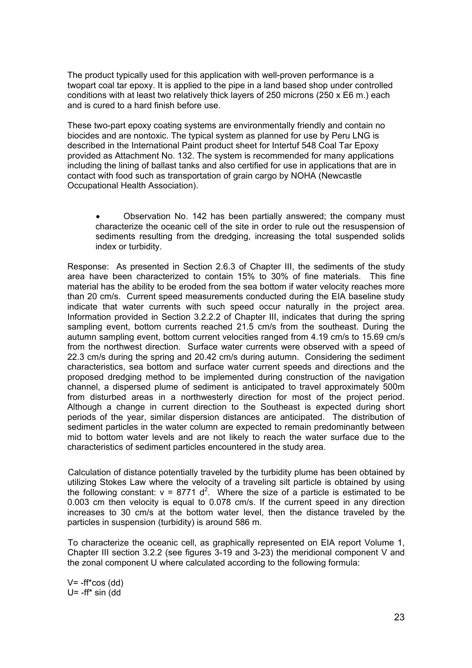The product typically used for this application with well-proven performance is a twopart coal tar epoxy. It is applied to the pipe in a land based shop under controlled conditions with at least two relatively thick layers of 250 microns (250 x E6 m.) each and is cured to a hard finish before use.

These two-part epoxy coating systems are environmentally friendly and contain no biocides and are nontoxic. The typical system as planned for use by Peru LNG is described in the International Paint product sheet for Intertuf 548 Coal Tar Epoxy provided as Attachment No. 132. The system is recommended for many applications including the lining of ballast tanks and also certified for use in applications that are in contact with food such as transportation of grain cargo by NOHA (Newcastle Occupational Health Association).

• Observation No. 142 has been partially answered; the company must characterize the oceanic cell of the site in order to rule out the resuspension of sediments resulting from the dredging, increasing the total suspended solids index or turbidity.

Response: As presented in Section 2.6.3 of Chapter III, the sediments of the study area have been characterized to contain 15% to 30% of fine materials. This fine material has the ability to be eroded from the sea bottom if water velocity reaches more than 20 cm/s. Current speed measurements conducted during the EIA baseline study indicate that water currents with such speed occur naturally in the project area. Information provided in Section 3.2.2.2 of Chapter III, indicates that during the spring sampling event, bottom currents reached 21.5 cm/s from the southeast. During the autumn sampling event, bottom current velocities ranged from 4.19 cm/s to 15.69 cm/s from the northwest direction. Surface water currents were observed with a speed of 22.3 cm/s during the spring and 20.42 cm/s during autumn. Considering the sediment characteristics, sea bottom and surface water current speeds and directions and the proposed dredging method to be implemented during construction of the navigation channel, a dispersed plume of sediment is anticipated to travel approximately 500m from disturbed areas in a northwesterly direction for most of the project period. Although a change in current direction to the Southeast is expected during short periods of the year, similar dispersion distances are anticipated. The distribution of sediment particles in the water column are expected to remain predominantly between mid to bottom water levels and are not likely to reach the water surface due to the characteristics of sediment particles encountered in the study area.

Calculation of distance potentially traveled by the turbidity plume has been obtained by utilizing Stokes Law where the velocity of a traveling silt particle is obtained by using the following constant:  $v = 8771 d^2$ . Where the size of a particle is estimated to be 0.003 cm then velocity is equal to 0.078 cm/s. If the current speed in any direction increases to 30 cm/s at the bottom water level, then the distance traveled by the particles in suspension (turbidity) is around 586 m.

To characterize the oceanic cell, as graphically represented on EIA report Volume 1, Chapter III section 3.2.2 (see figures 3-19 and 3-23) the meridional component V and the zonal component U where calculated according to the following formula:

 $V = -ff^*cos$  (dd) U= -ff\* sin (dd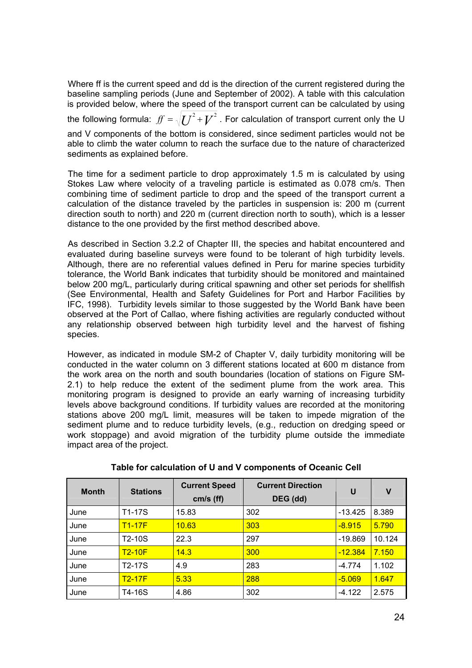Where ff is the current speed and dd is the direction of the current registered during the baseline sampling periods (June and September of 2002). A table with this calculation is provided below, where the speed of the transport current can be calculated by using the following formula:  $\emph{f}f = \sqrt{{U}^2+{V}^2}$  . For calculation of transport current only the U and V components of the bottom is considered, since sediment particles would not be able to climb the water column to reach the surface due to the nature of characterized sediments as explained before.

The time for a sediment particle to drop approximately 1.5 m is calculated by using Stokes Law where velocity of a traveling particle is estimated as 0.078 cm/s. Then combining time of sediment particle to drop and the speed of the transport current a calculation of the distance traveled by the particles in suspension is: 200 m (current direction south to north) and 220 m (current direction north to south), which is a lesser distance to the one provided by the first method described above.

As described in Section 3.2.2 of Chapter III, the species and habitat encountered and evaluated during baseline surveys were found to be tolerant of high turbidity levels. Although, there are no referential values defined in Peru for marine species turbidity tolerance, the World Bank indicates that turbidity should be monitored and maintained below 200 mg/L, particularly during critical spawning and other set periods for shellfish (See Environmental, Health and Safety Guidelines for Port and Harbor Facilities by IFC, 1998). Turbidity levels similar to those suggested by the World Bank have been observed at the Port of Callao, where fishing activities are regularly conducted without any relationship observed between high turbidity level and the harvest of fishing species.

However, as indicated in module SM-2 of Chapter V, daily turbidity monitoring will be conducted in the water column on 3 different stations located at 600 m distance from the work area on the north and south boundaries (location of stations on Figure SM-2.1) to help reduce the extent of the sediment plume from the work area. This monitoring program is designed to provide an early warning of increasing turbidity levels above background conditions. If turbidity values are recorded at the monitoring stations above 200 mg/L limit, measures will be taken to impede migration of the sediment plume and to reduce turbidity levels, (e.g., reduction on dredging speed or work stoppage) and avoid migration of the turbidity plume outside the immediate impact area of the project.

| <b>Month</b> | <b>Stations</b> | <b>Current Speed</b> | <b>Current Direction</b> | U         | ۷      |
|--------------|-----------------|----------------------|--------------------------|-----------|--------|
|              |                 | cm/s (ff)            | DEG (dd)                 |           |        |
| June         | T1-17S          | 15.83                | 302                      | $-13.425$ | 8.389  |
| June         | $T1-17F$        | 10.63                | 303                      | $-8.915$  | 5.790  |
| June         | T2-10S          | 22.3                 | 297                      | $-19.869$ | 10.124 |
| June         | $T2-10F$        | 14.3                 | 300                      | $-12.384$ | 7.150  |
| June         | T2-17S          | 4.9                  | 283                      | $-4.774$  | 1.102  |
| June         | $T2-17F$        | 5.33                 | 288                      | $-5.069$  | 1.647  |
| June         | T4-16S          | 4.86                 | 302                      | $-4.122$  | 2.575  |

**Table for calculation of U and V components of Oceanic Cell**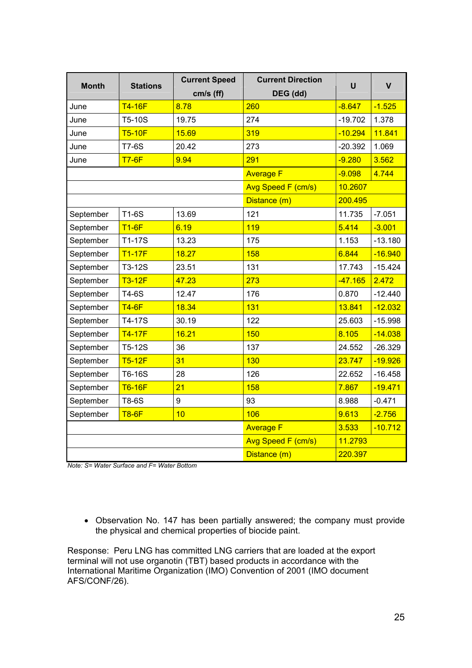| <b>Month</b> | <b>Stations</b> | <b>Current Speed</b>      | <b>Current Direction</b> | U         | $\mathbf v$ |
|--------------|-----------------|---------------------------|--------------------------|-----------|-------------|
|              |                 | cm/s (ff)                 | DEG (dd)                 |           |             |
| June         | <b>T4-16F</b>   | 8.78                      | 260                      | $-8.647$  | $-1.525$    |
| June         | T5-10S          | 19.75                     | 274                      | $-19.702$ | 1.378       |
| June         | <b>T5-10F</b>   | 15.69                     | 319                      | $-10.294$ | 11.841      |
| June         | <b>T7-6S</b>    | 20.42                     | 273                      | $-20.392$ | 1.069       |
| June         | <b>T7-6F</b>    | 9.94                      | 291                      | $-9.280$  | 3.562       |
|              |                 |                           | <b>Average F</b>         | $-9.098$  | 4.744       |
|              |                 |                           | Avg Speed F (cm/s)       | 10.2607   |             |
|              |                 |                           | Distance (m)             | 200.495   |             |
| September    | <b>T1-6S</b>    | 13.69                     | 121                      | 11.735    | $-7.051$    |
| September    | $T1-6F$         | 6.19                      | 119                      | 5.414     | $-3.001$    |
| September    | T1-17S          | 13.23                     | 175                      | 1.153     | $-13.180$   |
| September    | <b>T1-17F</b>   | 18.27                     | 158                      | 6.844     | $-16.940$   |
| September    | T3-12S          | 23.51                     | 131                      | 17.743    | $-15.424$   |
| September    | <b>T3-12F</b>   | 47.23                     | 273                      | $-47.165$ | 2.472       |
| September    | T4-6S           | 12.47                     | 176                      | 0.870     | $-12.440$   |
| September    | $T4-6F$         | 18.34                     | 131                      | 13.841    | $-12.032$   |
| September    | T4-17S          | 30.19                     | 122                      | 25.603    | $-15.998$   |
| September    | <b>T4-17F</b>   | 16.21                     | 150                      | 8.105     | $-14.038$   |
| September    | T5-12S          | 36                        | 137                      | 24.552    | $-26.329$   |
| September    | $T5-12F$        | 31                        | 130                      | 23.747    | $-19.926$   |
| September    | T6-16S          | 28                        | 126                      | 22.652    | $-16.458$   |
| September    | <b>T6-16F</b>   | 21                        | 158                      | 7.867     | $-19.471$   |
| September    | T8-6S           | 9                         | 93                       | 8.988     | $-0.471$    |
| September    | <b>T8-6F</b>    | 10                        | 106                      | 9.613     | $-2.756$    |
|              |                 |                           | <b>Average F</b>         | 3.533     | $-10.712$   |
|              |                 | <b>Avg Speed F (cm/s)</b> | 11.2793                  |           |             |
|              |                 |                           | Distance (m)             | 220.397   |             |

*Note: S= Water Surface and F= Water Bottom*

• Observation No. 147 has been partially answered; the company must provide the physical and chemical properties of biocide paint.

Response: Peru LNG has committed LNG carriers that are loaded at the export terminal will not use organotin (TBT) based products in accordance with the International Maritime Organization (IMO) Convention of 2001 (IMO document AFS/CONF/26).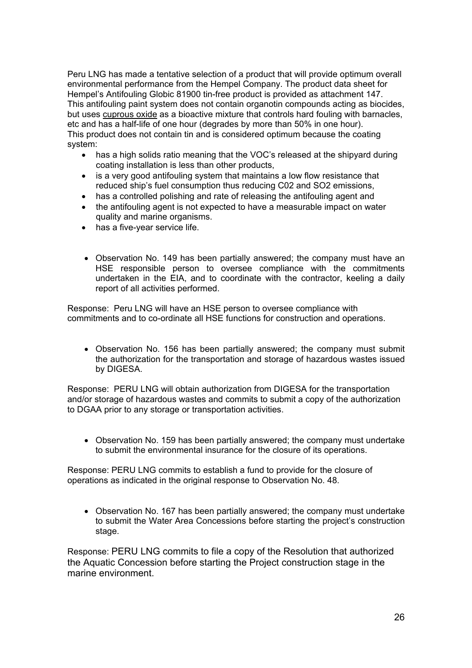Peru LNG has made a tentative selection of a product that will provide optimum overall environmental performance from the Hempel Company. The product data sheet for Hempel's Antifouling Globic 81900 tin-free product is provided as attachment 147. This antifouling paint system does not contain organotin compounds acting as biocides, but uses cuprous oxide as a bioactive mixture that controls hard fouling with barnacles, etc and has a half-life of one hour (degrades by more than 50% in one hour). This product does not contain tin and is considered optimum because the coating system:

- has a high solids ratio meaning that the VOC's released at the shipyard during coating installation is less than other products,
- is a very good antifouling system that maintains a low flow resistance that reduced ship's fuel consumption thus reducing C02 and SO2 emissions,
- has a controlled polishing and rate of releasing the antifouling agent and
- the antifouling agent is not expected to have a measurable impact on water quality and marine organisms.
- has a five-year service life.
- Observation No. 149 has been partially answered; the company must have an HSE responsible person to oversee compliance with the commitments undertaken in the EIA, and to coordinate with the contractor, keeling a daily report of all activities performed.

Response: Peru LNG will have an HSE person to oversee compliance with commitments and to co-ordinate all HSE functions for construction and operations.

• Observation No. 156 has been partially answered; the company must submit the authorization for the transportation and storage of hazardous wastes issued by DIGESA.

Response: PERU LNG will obtain authorization from DIGESA for the transportation and/or storage of hazardous wastes and commits to submit a copy of the authorization to DGAA prior to any storage or transportation activities.

• Observation No. 159 has been partially answered; the company must undertake to submit the environmental insurance for the closure of its operations.

Response: PERU LNG commits to establish a fund to provide for the closure of operations as indicated in the original response to Observation No. 48.

• Observation No. 167 has been partially answered; the company must undertake to submit the Water Area Concessions before starting the project's construction stage.

Response: PERU LNG commits to file a copy of the Resolution that authorized the Aquatic Concession before starting the Project construction stage in the marine environment.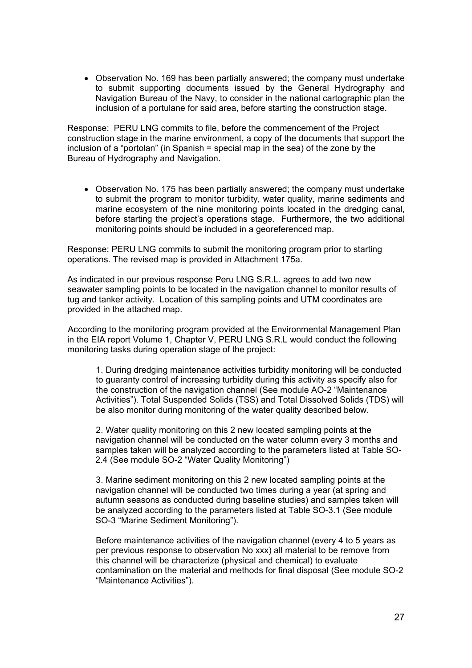• Observation No. 169 has been partially answered; the company must undertake to submit supporting documents issued by the General Hydrography and Navigation Bureau of the Navy, to consider in the national cartographic plan the inclusion of a portulane for said area, before starting the construction stage.

Response: PERU LNG commits to file, before the commencement of the Project construction stage in the marine environment, a copy of the documents that support the inclusion of a "portolan" (in Spanish = special map in the sea) of the zone by the Bureau of Hydrography and Navigation.

• Observation No. 175 has been partially answered; the company must undertake to submit the program to monitor turbidity, water quality, marine sediments and marine ecosystem of the nine monitoring points located in the dredging canal, before starting the project's operations stage. Furthermore, the two additional monitoring points should be included in a georeferenced map.

Response: PERU LNG commits to submit the monitoring program prior to starting operations. The revised map is provided in Attachment 175a.

As indicated in our previous response Peru LNG S.R.L. agrees to add two new seawater sampling points to be located in the navigation channel to monitor results of tug and tanker activity. Location of this sampling points and UTM coordinates are provided in the attached map.

According to the monitoring program provided at the Environmental Management Plan in the EIA report Volume 1, Chapter V, PERU LNG S.R.L would conduct the following monitoring tasks during operation stage of the project:

1. During dredging maintenance activities turbidity monitoring will be conducted to guaranty control of increasing turbidity during this activity as specify also for the construction of the navigation channel (See module AO-2 "Maintenance Activities"). Total Suspended Solids (TSS) and Total Dissolved Solids (TDS) will be also monitor during monitoring of the water quality described below.

2. Water quality monitoring on this 2 new located sampling points at the navigation channel will be conducted on the water column every 3 months and samples taken will be analyzed according to the parameters listed at Table SO-2.4 (See module SO-2 "Water Quality Monitoring")

3. Marine sediment monitoring on this 2 new located sampling points at the navigation channel will be conducted two times during a year (at spring and autumn seasons as conducted during baseline studies) and samples taken will be analyzed according to the parameters listed at Table SO-3.1 (See module SO-3 "Marine Sediment Monitoring").

Before maintenance activities of the navigation channel (every 4 to 5 years as per previous response to observation No xxx) all material to be remove from this channel will be characterize (physical and chemical) to evaluate contamination on the material and methods for final disposal (See module SO-2 "Maintenance Activities").